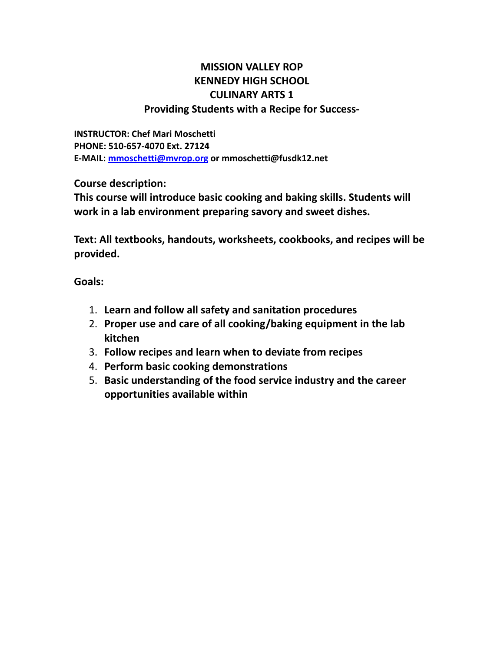## **MISSION VALLEY ROP KENNEDY HIGH SCHOOL CULINARY ARTS 1 Providing Students with a Recipe for Success-**

**INSTRUCTOR: Chef Mari Moschetti PHONE: 510-657-4070 Ext. 27124 E-MAIL: [mmoschetti@mvrop.org](mailto:mmoschetti@mvrop.org) or mmoschetti@fusdk12.net**

**Course description:**

**This course will introduce basic cooking and baking skills. Students will work in a lab environment preparing savory and sweet dishes.**

**Text: All textbooks, handouts, worksheets, cookbooks, and recipes will be provided.**

**Goals:**

- 1. **Learn and follow all safety and sanitation procedures**
- 2. **Proper use and care of all cooking/baking equipment in the lab kitchen**
- 3. **Follow recipes and learn when to deviate from recipes**
- 4. **Perform basic cooking demonstrations**
- 5. **Basic understanding of the food service industry and the career opportunities available within**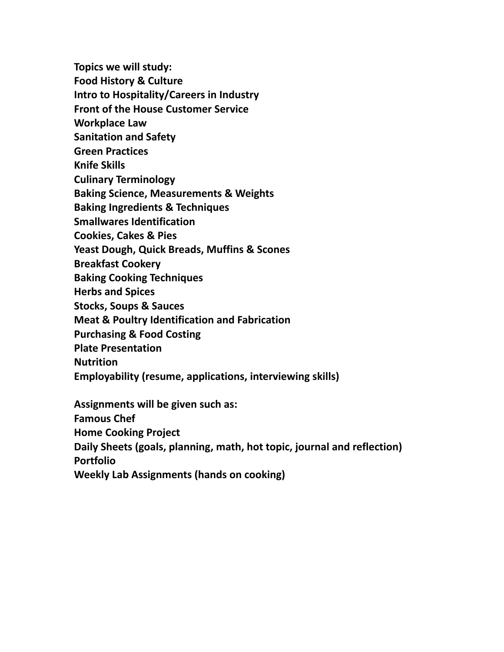**Topics we will study:**

**Food History & Culture**

**Intro to Hospitality/Careers in Industry**

**Front of the House Customer Service**

**Workplace Law**

**Sanitation and Safety**

**Green Practices**

**Knife Skills**

**Culinary Terminology**

**Baking Science, Measurements & Weights**

**Baking Ingredients & Techniques**

**Smallwares Identification**

**Cookies, Cakes & Pies**

**Yeast Dough, Quick Breads, Muffins & Scones**

**Breakfast Cookery**

**Baking Cooking Techniques**

**Herbs and Spices**

**Stocks, Soups & Sauces**

**Meat & Poultry Identification and Fabrication**

**Purchasing & Food Costing**

**Plate Presentation**

**Nutrition**

**Employability (resume, applications, interviewing skills)**

**Assignments will be given such as:**

**Famous Chef**

**Home Cooking Project**

**Daily Sheets (goals, planning, math, hot topic, journal and reflection)**

**Portfolio**

**Weekly Lab Assignments (hands on cooking)**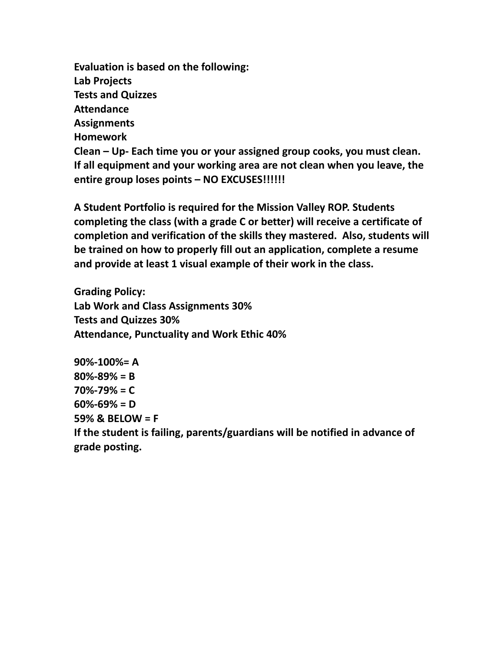**Evaluation is based on the following: Lab Projects Tests and Quizzes Attendance Assignments Homework Clean – Up- Each time you or your assigned group cooks, you must clean. If all equipment and your working area are not clean when you leave, the entire group loses points – NO EXCUSES!!!!!!**

**A Student Portfolio is required for the Mission Valley ROP. Students completing the class (with a grade C or better) will receive a certificate of completion and verification of the skills they mastered. Also, students will be trained on how to properly fill out an application, complete a resume and provide at least 1 visual example of their work in the class.**

**Grading Policy: Lab Work and Class Assignments 30% Tests and Quizzes 30% Attendance, Punctuality and Work Ethic 40%**

**90%-100%= A 80%-89% = B 70%-79% = C 60%-69% = D 59% & BELOW = F If the student is failing, parents/guardians will be notified in advance of grade posting.**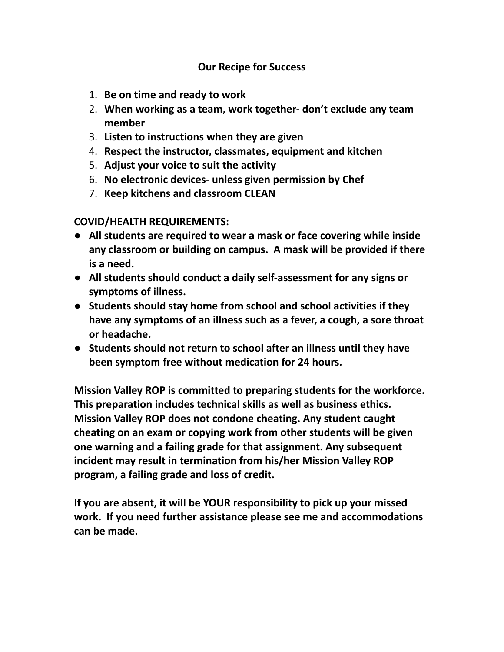## **Our Recipe for Success**

- 1. **Be on time and ready to work**
- 2. **When working as a team, work together- don't exclude any team member**
- 3. **Listen to instructions when they are given**
- 4. **Respect the instructor, classmates, equipment and kitchen**
- 5. **Adjust your voice to suit the activity**
- 6. **No electronic devices- unless given permission by Chef**
- 7. **Keep kitchens and classroom CLEAN**

**COVID/HEALTH REQUIREMENTS:**

- **All students are required to wear a mask or face covering while inside any classroom or building on campus. A mask will be provided if there is a need.**
- **All students should conduct a daily self-assessment for any signs or symptoms of illness.**
- **Students should stay home from school and school activities if they have any symptoms of an illness such as a fever, a cough, a sore throat or headache.**
- **Students should not return to school after an illness until they have been symptom free without medication for 24 hours.**

**Mission Valley ROP is committed to preparing students for the workforce. This preparation includes technical skills as well as business ethics. Mission Valley ROP does not condone cheating. Any student caught cheating on an exam or copying work from other students will be given one warning and a failing grade for that assignment. Any subsequent incident may result in termination from his/her Mission Valley ROP program, a failing grade and loss of credit.**

**If you are absent, it will be YOUR responsibility to pick up your missed work. If you need further assistance please see me and accommodations can be made.**